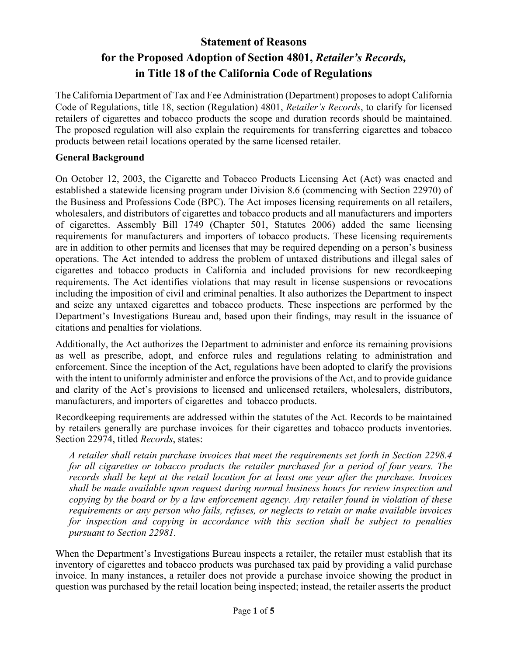# **Statement of Reasons for the Proposed Adoption of Section 4801,** *Retailer's Records,* **in Title 18 of the California Code of Regulations**

The California Department of Tax and Fee Administration (Department) proposes to adopt California Code of Regulations, title 18, section (Regulation) 4801, *Retailer's Records*, to clarify for licensed retailers of cigarettes and tobacco products the scope and duration records should be maintained. The proposed regulation will also explain the requirements for transferring cigarettes and tobacco products between retail locations operated by the same licensed retailer.

#### **General Background**

On October 12, 2003, the Cigarette and Tobacco Products Licensing Act (Act) was enacted and established a statewide licensing program under Division 8.6 (commencing with Section 22970) of the Business and Professions Code (BPC). The Act imposes licensing requirements on all retailers, wholesalers, and distributors of cigarettes and tobacco products and all manufacturers and importers of cigarettes. Assembly Bill 1749 (Chapter 501, Statutes 2006) added the same licensing requirements for manufacturers and importers of tobacco products. These licensing requirements are in addition to other permits and licenses that may be required depending on a person's business operations. The Act intended to address the problem of untaxed distributions and illegal sales of cigarettes and tobacco products in California and included provisions for new recordkeeping requirements. The Act identifies violations that may result in license suspensions or revocations including the imposition of civil and criminal penalties. It also authorizes the Department to inspect and seize any untaxed cigarettes and tobacco products. These inspections are performed by the Department's Investigations Bureau and, based upon their findings, may result in the issuance of citations and penalties for violations.

Additionally, the Act authorizes the Department to administer and enforce its remaining provisions as well as prescribe, adopt, and enforce rules and regulations relating to administration and enforcement. Since the inception of the Act, regulations have been adopted to clarify the provisions with the intent to uniformly administer and enforce the provisions of the Act, and to provide guidance and clarity of the Act's provisions to licensed and unlicensed retailers, wholesalers, distributors, manufacturers, and importers of cigarettes and tobacco products.

Recordkeeping requirements are addressed within the statutes of the Act. Records to be maintained by retailers generally are purchase invoices for their cigarettes and tobacco products inventories. Section 22974, titled *Records*, states:

*A retailer shall retain purchase invoices that meet the requirements set forth in Section 2298.4 for all cigarettes or tobacco products the retailer purchased for a period of four years. The records shall be kept at the retail location for at least one year after the purchase. Invoices shall be made available upon request during normal business hours for review inspection and copying by the board or by a law enforcement agency. Any retailer found in violation of these requirements or any person who fails, refuses, or neglects to retain or make available invoices for inspection and copying in accordance with this section shall be subject to penalties pursuant to Section 22981.* 

When the Department's Investigations Bureau inspects a retailer, the retailer must establish that its inventory of cigarettes and tobacco products was purchased tax paid by providing a valid purchase invoice. In many instances, a retailer does not provide a purchase invoice showing the product in question was purchased by the retail location being inspected; instead, the retailer asserts the product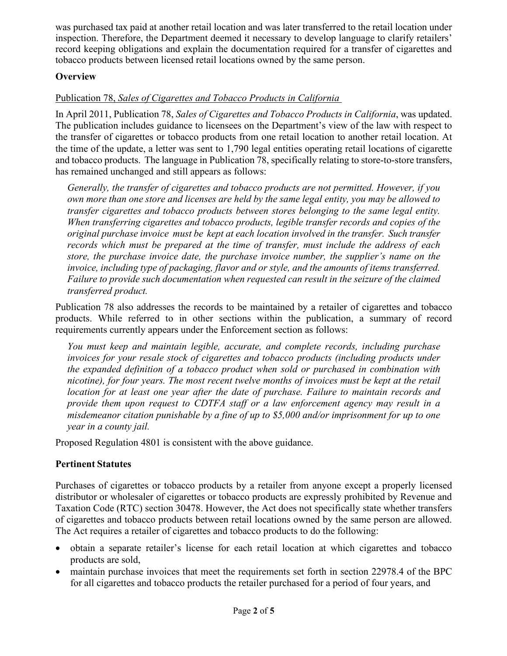was purchased tax paid at another retail location and was later transferred to the retail location under inspection. Therefore, the Department deemed it necessary to develop language to clarify retailers' record keeping obligations and explain the documentation required for a transfer of cigarettes and tobacco products between licensed retail locations owned by the same person.

# **Overview**

# Publication 78, *Sales of Cigarettes and Tobacco Products in California*

In April 2011, Publication 78, *Sales of Cigarettes and Tobacco Products in California*, was updated. The publication includes guidance to licensees on the Department's view of the law with respect to the transfer of cigarettes or tobacco products from one retail location to another retail location. At the time of the update, a letter was sent to 1,790 legal entities operating retail locations of cigarette and tobacco products. The language in Publication 78, specifically relating to store-to-store transfers, has remained unchanged and still appears as follows:

*Generally, the transfer of cigarettes and tobacco products are not permitted. However, if you own more than one store and licenses are held by the same legal entity, you may be allowed to transfer cigarettes and tobacco products between stores belonging to the same legal entity. When transferring cigarettes and tobacco products, legible transfer records and copies of the original purchase invoice must be kept at each location involved in the transfer. Such transfer records which must be prepared at the time of transfer, must include the address of each store, the purchase invoice date, the purchase invoice number, the supplier's name on the invoice, including type of packaging, flavor and or style, and the amounts of items transferred. Failure to provide such documentation when requested can result in the seizure of the claimed transferred product.* 

Publication 78 also addresses the records to be maintained by a retailer of cigarettes and tobacco products. While referred to in other sections within the publication, a summary of record requirements currently appears under the Enforcement section as follows:

*You must keep and maintain legible, accurate, and complete records, including purchase invoices for your resale stock of cigarettes and tobacco products (including products under the expanded definition of a tobacco product when sold or purchased in combination with nicotine), for four years. The most recent twelve months of invoices must be kept at the retail location for at least one year after the date of purchase. Failure to maintain records and provide them upon request to CDTFA staff or a law enforcement agency may result in a misdemeanor citation punishable by a fine of up to \$5,000 and/or imprisonment for up to one year in a county jail.*

Proposed Regulation 4801 is consistent with the above guidance.

# **Pertinent Statutes**

Purchases of cigarettes or tobacco products by a retailer from anyone except a properly licensed distributor or wholesaler of cigarettes or tobacco products are expressly prohibited by Revenue and Taxation Code (RTC) section 30478. However, the Act does not specifically state whether transfers of cigarettes and tobacco products between retail locations owned by the same person are allowed. The Act requires a retailer of cigarettes and tobacco products to do the following:

- obtain a separate retailer's license for each retail location at which cigarettes and tobacco products are sold,
- maintain purchase invoices that meet the requirements set forth in section 22978.4 of the BPC for all cigarettes and tobacco products the retailer purchased for a period of four years, and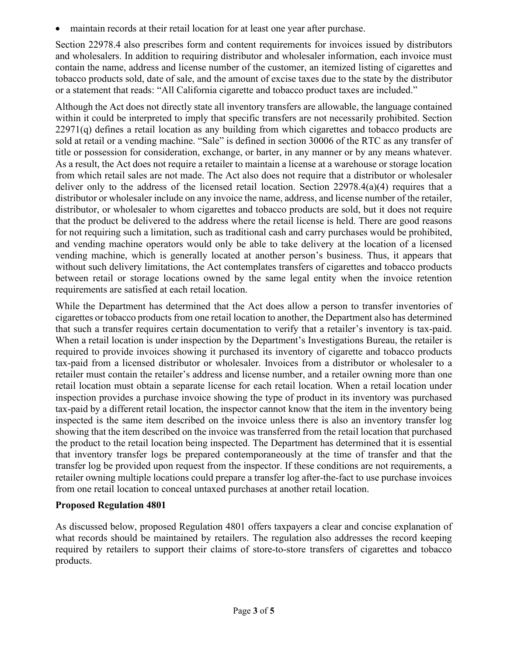maintain records at their retail location for at least one year after purchase.

Section 22978.4 also prescribes form and content requirements for invoices issued by distributors and wholesalers. In addition to requiring distributor and wholesaler information, each invoice must contain the name, address and license number of the customer, an itemized listing of cigarettes and tobacco products sold, date of sale, and the amount of excise taxes due to the state by the distributor or a statement that reads: "All California cigarette and tobacco product taxes are included."

Although the Act does not directly state all inventory transfers are allowable, the language contained within it could be interpreted to imply that specific transfers are not necessarily prohibited. Section  $22971(q)$  defines a retail location as any building from which cigarettes and tobacco products are sold at retail or a vending machine. "Sale" is defined in section 30006 of the RTC as any transfer of title or possession for consideration, exchange, or barter, in any manner or by any means whatever. As a result, the Act does not require a retailer to maintain a license at a warehouse or storage location from which retail sales are not made. The Act also does not require that a distributor or wholesaler deliver only to the address of the licensed retail location. Section 22978.4(a)(4) requires that a distributor or wholesaler include on any invoice the name, address, and license number of the retailer, distributor, or wholesaler to whom cigarettes and tobacco products are sold, but it does not require that the product be delivered to the address where the retail license is held. There are good reasons for not requiring such a limitation, such as traditional cash and carry purchases would be prohibited, and vending machine operators would only be able to take delivery at the location of a licensed vending machine, which is generally located at another person's business. Thus, it appears that without such delivery limitations, the Act contemplates transfers of cigarettes and tobacco products between retail or storage locations owned by the same legal entity when the invoice retention requirements are satisfied at each retail location.

While the Department has determined that the Act does allow a person to transfer inventories of cigarettes or tobacco products from one retail location to another, the Department also has determined that such a transfer requires certain documentation to verify that a retailer's inventory is tax-paid. When a retail location is under inspection by the Department's Investigations Bureau, the retailer is required to provide invoices showing it purchased its inventory of cigarette and tobacco products tax-paid from a licensed distributor or wholesaler. Invoices from a distributor or wholesaler to a retailer must contain the retailer's address and license number, and a retailer owning more than one retail location must obtain a separate license for each retail location. When a retail location under inspection provides a purchase invoice showing the type of product in its inventory was purchased tax-paid by a different retail location, the inspector cannot know that the item in the inventory being inspected is the same item described on the invoice unless there is also an inventory transfer log showing that the item described on the invoice was transferred from the retail location that purchased the product to the retail location being inspected. The Department has determined that it is essential that inventory transfer logs be prepared contemporaneously at the time of transfer and that the transfer log be provided upon request from the inspector. If these conditions are not requirements, a retailer owning multiple locations could prepare a transfer log after-the-fact to use purchase invoices from one retail location to conceal untaxed purchases at another retail location.

#### **Proposed Regulation 4801**

As discussed below, proposed Regulation 4801 offers taxpayers a clear and concise explanation of what records should be maintained by retailers. The regulation also addresses the record keeping required by retailers to support their claims of store-to-store transfers of cigarettes and tobacco products.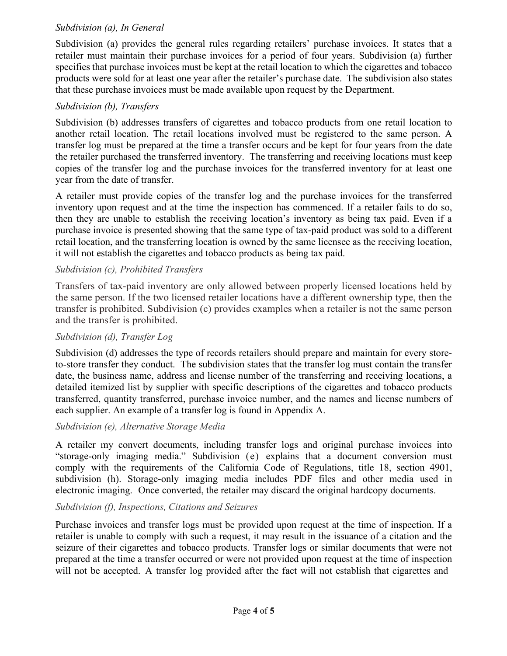#### *Subdivision (a), In General*

Subdivision (a) provides the general rules regarding retailers' purchase invoices. It states that a retailer must maintain their purchase invoices for a period of four years. Subdivision (a) further specifies that purchase invoices must be kept at the retail location to which the cigarettes and tobacco products were sold for at least one year after the retailer's purchase date. The subdivision also states that these purchase invoices must be made available upon request by the Department.

# *Subdivision (b), Transfers*

Subdivision (b) addresses transfers of cigarettes and tobacco products from one retail location to another retail location. The retail locations involved must be registered to the same person. A transfer log must be prepared at the time a transfer occurs and be kept for four years from the date the retailer purchased the transferred inventory. The transferring and receiving locations must keep copies of the transfer log and the purchase invoices for the transferred inventory for at least one year from the date of transfer.

A retailer must provide copies of the transfer log and the purchase invoices for the transferred inventory upon request and at the time the inspection has commenced. If a retailer fails to do so, then they are unable to establish the receiving location's inventory as being tax paid. Even if a purchase invoice is presented showing that the same type of tax-paid product was sold to a different retail location, and the transferring location is owned by the same licensee as the receiving location, it will not establish the cigarettes and tobacco products as being tax paid.

# *Subdivision (c), Prohibited Transfers*

Transfers of tax-paid inventory are only allowed between properly licensed locations held by the same person. If the two licensed retailer locations have a different ownership type, then the transfer is prohibited. Subdivision (c) provides examples when a retailer is not the same person and the transfer is prohibited.

# *Subdivision (d), Transfer Log*

Subdivision (d) addresses the type of records retailers should prepare and maintain for every storeto-store transfer they conduct. The subdivision states that the transfer log must contain the transfer date, the business name, address and license number of the transferring and receiving locations, a detailed itemized list by supplier with specific descriptions of the cigarettes and tobacco products transferred, quantity transferred, purchase invoice number, and the names and license numbers of each supplier. An example of a transfer log is found in Appendix A.

# *Subdivision (e), Alternative Storage Media*

A retailer my convert documents, including transfer logs and original purchase invoices into "storage-only imaging media." Subdivision (e) explains that a document conversion must comply with the requirements of the California Code of Regulations, title 18, section 4901, subdivision (h). Storage-only imaging media includes PDF files and other media used in electronic imaging. Once converted, the retailer may discard the original hardcopy documents.

# *Subdivision (f), Inspections, Citations and Seizures*

Purchase invoices and transfer logs must be provided upon request at the time of inspection. If a retailer is unable to comply with such a request, it may result in the issuance of a citation and the seizure of their cigarettes and tobacco products. Transfer logs or similar documents that were not prepared at the time a transfer occurred or were not provided upon request at the time of inspection will not be accepted. A transfer log provided after the fact will not establish that cigarettes and